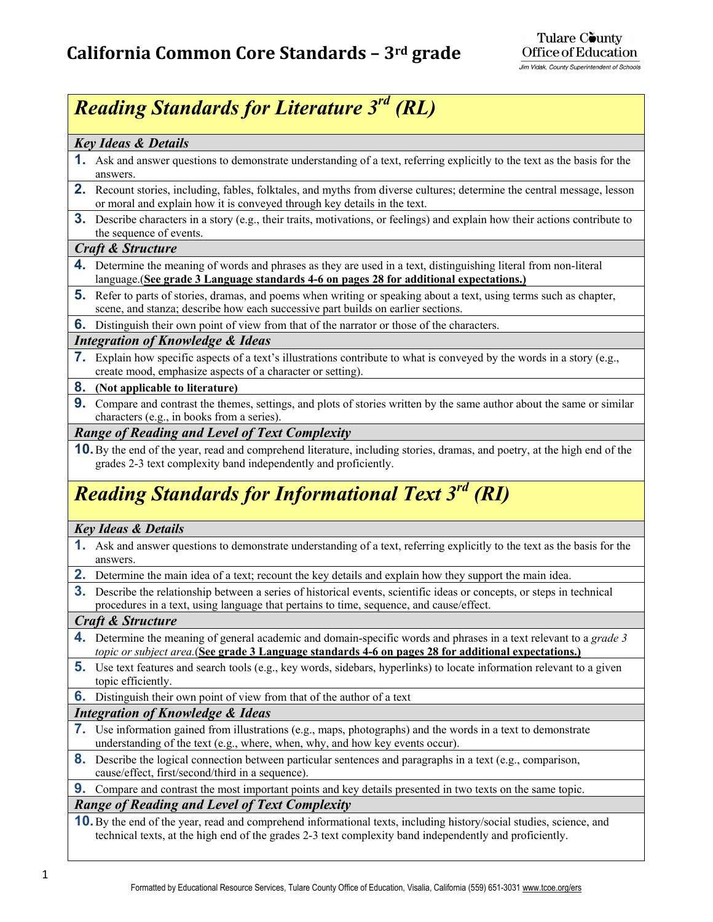# *Reading Standards for Literature 3rd (RL)*

#### *Key Ideas & Details*

- **1.** Ask and answer questions to demonstrate understanding of a text, referring explicitly to the text as the basis for the answers.
- **2.** Recount stories, including, fables, folktales, and myths from diverse cultures; determine the central message, lesson or moral and explain how it is conveyed through key details in the text.
- **3.** Describe characters in a story (e.g., their traits, motivations, or feelings) and explain how their actions contribute to the sequence of events.

#### *Craft & Structure*

- **4.** Determine the meaning of words and phrases as they are used in a text, distinguishing literal from non-literal language.(**See grade 3 Language standards 4-6 on pages 28 for additional expectations.)**
- **5.** Refer to parts of stories, dramas, and poems when writing or speaking about a text, using terms such as chapter, scene, and stanza; describe how each successive part builds on earlier sections.

**6.** Distinguish their own point of view from that of the narrator or those of the characters.

#### *Integration of Knowledge & Ideas*

**7.** Explain how specific aspects of a text's illustrations contribute to what is conveyed by the words in a story (e.g., create mood, emphasize aspects of a character or setting).

#### **8. (Not applicable to literature)**

**9.** Compare and contrast the themes, settings, and plots of stories written by the same author about the same or similar characters (e.g., in books from a series).

#### *Range of Reading and Level of Text Complexity*

**10.** By the end of the year, read and comprehend literature, including stories, dramas, and poetry, at the high end of the grades 2-3 text complexity band independently and proficiently.

## *Reading Standards for Informational Text 3rd (RI)*

#### *Key Ideas & Details*

- **1.** Ask and answer questions to demonstrate understanding of a text, referring explicitly to the text as the basis for the answers.
- **2.** Determine the main idea of a text; recount the key details and explain how they support the main idea.
- **3.** Describe the relationship between a series of historical events, scientific ideas or concepts, or steps in technical procedures in a text, using language that pertains to time, sequence, and cause/effect.

#### *Craft & Structure*

- **4.** Determine the meaning of general academic and domain-specific words and phrases in a text relevant to a *grade 3 topic or subject area.*(**See grade 3 Language standards 4-6 on pages 28 for additional expectations.)**
- **5.** Use text features and search tools (e.g., key words, sidebars, hyperlinks) to locate information relevant to a given topic efficiently.
- **6.** Distinguish their own point of view from that of the author of a text

#### *Integration of Knowledge & Ideas*

- **7.** Use information gained from illustrations (e.g., maps, photographs) and the words in a text to demonstrate understanding of the text (e.g., where, when, why, and how key events occur).
- **8.** Describe the logical connection between particular sentences and paragraphs in a text (e.g., comparison, cause/effect, first/second/third in a sequence).

**9.** Compare and contrast the most important points and key details presented in two texts on the same topic.

### *Range of Reading and Level of Text Complexity*

**10.** By the end of the year, read and comprehend informational texts, including history/social studies, science, and technical texts, at the high end of the grades 2-3 text complexity band independently and proficiently.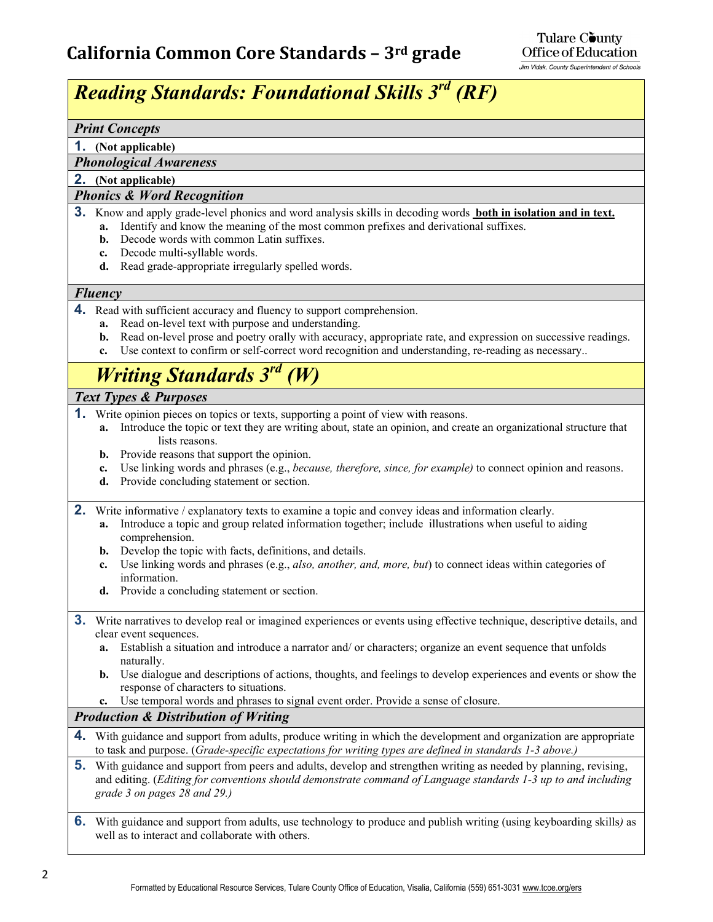## *Reading Standards: Foundational Skills 3rd (RF)*

### *Print Concepts*

#### **1. (Not applicable)**

*Phonological Awareness* 

#### **2. (Not applicable)**

### *Phonics & Word Recognition*

- **3.** Know and apply grade-level phonics and word analysis skills in decoding words **both in isolation and in text. a.** Identify and know the meaning of the most common prefixes and derivational suffixes.
	- **b.** Decode words with common Latin suffixes.
	- **c.** Decode multi-syllable words.
	- **d.** Read grade-appropriate irregularly spelled words.

#### *Fluency*

- **4.** Read with sufficient accuracy and fluency to support comprehension.
	- **a.** Read on-level text with purpose and understanding.
	- **b.** Read on-level prose and poetry orally with accuracy, appropriate rate, and expression on successive readings. **c.** Use context to confirm or self-correct word recognition and understanding, re-reading as necessary..

# *Writing Standards 3rd (W)*

### *Text Types & Purposes*

- **1.** Write opinion pieces on topics or texts, supporting a point of view with reasons.
	- **a.** Introduce the topic or text they are writing about, state an opinion, and create an organizational structure that lists reasons.
	- **b.** Provide reasons that support the opinion.
	- **c.** Use linking words and phrases (e.g., *because, therefore, since, for example)* to connect opinion and reasons.
	- **d.** Provide concluding statement or section.
- **2.** Write informative / explanatory texts to examine a topic and convey ideas and information clearly.
	- **a.** Introduce a topic and group related information together; include illustrations when useful to aiding comprehension.
	- **b.** Develop the topic with facts, definitions, and details.
	- **c.** Use linking words and phrases (e.g., *also, another, and, more, but*) to connect ideas within categories of information.
	- **d.** Provide a concluding statement or section.
- **3.** Write narratives to develop real or imagined experiences or events using effective technique, descriptive details, and clear event sequences.
	- **a.** Establish a situation and introduce a narrator and/ or characters; organize an event sequence that unfolds naturally.
	- **b.** Use dialogue and descriptions of actions, thoughts, and feelings to develop experiences and events or show the response of characters to situations.
	- **c.** Use temporal words and phrases to signal event order. Provide a sense of closure.

### *Production & Distribution of Writing*

- **4.** With guidance and support from adults, produce writing in which the development and organization are appropriate to task and purpose. (*Grade-specific expectations for writing types are defined in standards 1-3 above.)*
- **5.** With guidance and support from peers and adults, develop and strengthen writing as needed by planning, revising, and editing. (*Editing for conventions should demonstrate command of Language standards 1-3 up to and including grade 3 on pages 28 and 29.)*
- **6.** With guidance and support from adults, use technology to produce and publish writing (using keyboarding skills*)* as well as to interact and collaborate with others.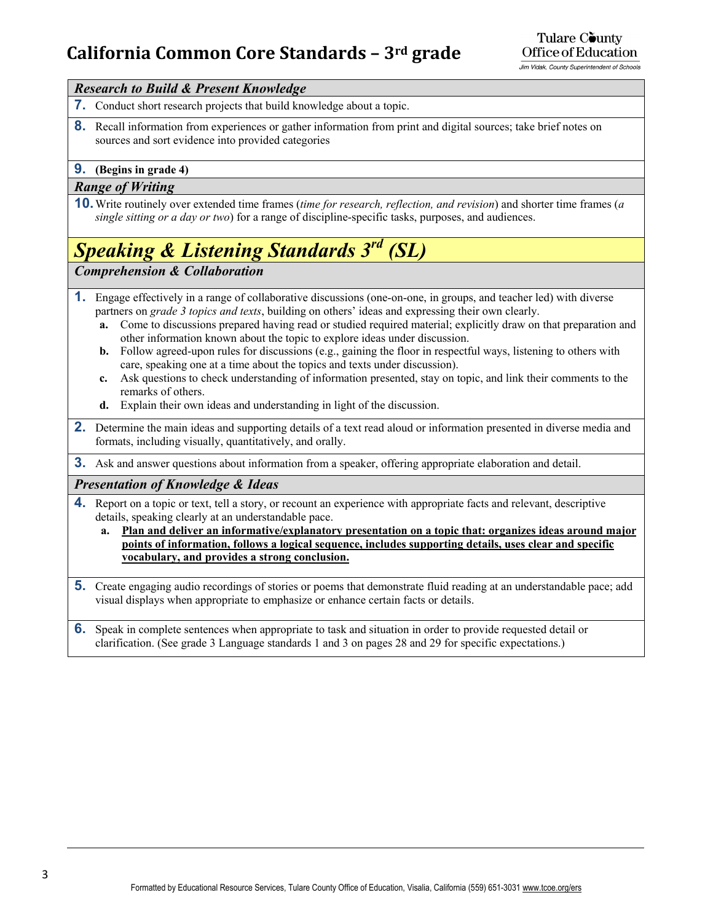#### *Research to Build & Present Knowledge*

- **7.** Conduct short research projects that build knowledge about a topic.
- **8.** Recall information from experiences or gather information from print and digital sources; take brief notes on sources and sort evidence into provided categories

#### **9. (Begins in grade 4)**

#### *Range of Writing*

**10.** Write routinely over extended time frames (*time for research, reflection, and revision*) and shorter time frames (*a single sitting or a day or two*) for a range of discipline-specific tasks, purposes, and audiences.

## *Speaking & Listening Standards 3rd (SL)*

#### *Comprehension & Collaboration*

- **1.** Engage effectively in a range of collaborative discussions (one-on-one, in groups, and teacher led) with diverse partners on *grade 3 topics and texts*, building on others' ideas and expressing their own clearly.
	- **a.** Come to discussions prepared having read or studied required material; explicitly draw on that preparation and other information known about the topic to explore ideas under discussion.
	- **b.** Follow agreed-upon rules for discussions (e.g., gaining the floor in respectful ways, listening to others with care, speaking one at a time about the topics and texts under discussion).
	- **c.** Ask questions to check understanding of information presented, stay on topic, and link their comments to the remarks of others.
	- **d.** Explain their own ideas and understanding in light of the discussion.
- **2.** Determine the main ideas and supporting details of a text read aloud or information presented in diverse media and formats, including visually, quantitatively, and orally.
- **3.** Ask and answer questions about information from a speaker, offering appropriate elaboration and detail.

#### *Presentation of Knowledge & Ideas*

- **4.** Report on a topic or text, tell a story, or recount an experience with appropriate facts and relevant, descriptive details, speaking clearly at an understandable pace.
	- **a. Plan and deliver an informative/explanatory presentation on a topic that: organizes ideas around major points of information, follows a logical sequence, includes supporting details, uses clear and specific vocabulary, and provides a strong conclusion.**
- **5.** Create engaging audio recordings of stories or poems that demonstrate fluid reading at an understandable pace; add visual displays when appropriate to emphasize or enhance certain facts or details.

**<sup>6.</sup>** Speak in complete sentences when appropriate to task and situation in order to provide requested detail or clarification. (See grade 3 Language standards 1 and 3 on pages 28 and 29 for specific expectations.)